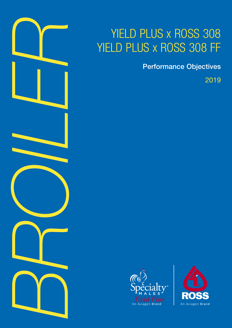

# YIELD PLUS x ROSS 308 YIELD PLUS x ROSS 308 FF

Performance Objectives

2019



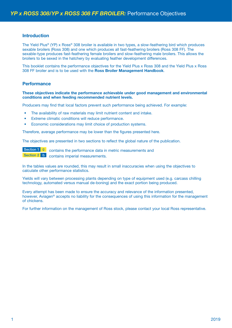### **Introduction**

The Yield Plus® (YP) x Ross® 308 broiler is available in two types, a slow-feathering bird which produces sexable broilers (Ross 308) and one which produces all fast-feathering broilers (Ross 308 FF). The sexable-type produces fast-feathering female broilers and slow-feathering male broilers. This allows the broilers to be sexed in the hatchery by evaluating feather development differences.

This booklet contains the performance objectives for the Yield Plus x Ross 308 and the Yield Plus x Ross 308 FF broiler and is to be used with the **Ross Broiler Management Handbook**.

## **Performance**

#### **These objectives indicate the performance achievable under good management and environmental conditions and when feeding recommended nutrient levels.**

Producers may find that local factors prevent such performance being achieved. For example:

- The availability of raw materials may limit nutrient content and intake.
- Extreme climatic conditions will reduce performance.
- Economic considerations may limit choice of production systems.

Therefore, average performance may be lower than the figures presented here.

The objectives are presented in two sections to reflect the global nature of the publication.

Section 1 9 contains the performance data in metric measurements and Section 2 **b** contains imperial measurements.

In the tables values are rounded, this may result in small inaccuracies when using the objectives to calculate other performance statistics.

Yields will vary between processing plants depending on type of equipment used (e.g. carcass chilling technology, automated versus manual de-boning) and the exact portion being produced.

Every attempt has been made to ensure the accuracy and relevance of the information presented, however, Aviagen<sup>®</sup> accepts no liability for the consequences of using this information for the management of chickens.

For further information on the management of Ross stock, please contact your local Ross representative.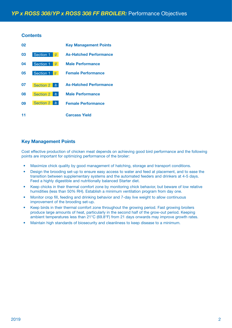## **Contents**

| 02 |                                    | <b>Key Management Points</b>  |
|----|------------------------------------|-------------------------------|
| 03 | Section 1<br>$\mathfrak{g}$        | <b>As-Hatched Performance</b> |
| 04 | Section 1<br>g                     | <b>Male Performance</b>       |
| 05 | Section 1<br>g                     | <b>Female Performance</b>     |
| 07 | <b>Section 2</b><br>lb             | <b>As-Hatched Performance</b> |
| 08 | <b>Section 2</b><br>$\mathsf{lb}$  | <b>Male Performance</b>       |
| 09 | <b>Section 2</b><br>$\mathbb{I}$ b | <b>Female Performance</b>     |
|    |                                    | <b>Carcass Yield</b>          |

## **Key Management Points**

Cost effective production of chicken meat depends on achieving good bird performance and the following points are important for optimizing performance of the broiler:

- Maximize chick quality by good management of hatching, storage and transport conditions.
- Design the brooding set-up to ensure easy access to water and feed at placement, and to ease the transition between supplementary systems and the automated feeders and drinkers at 4-5 days. Feed a highly digestible and nutritionally balanced Starter diet.
- Keep chicks in their thermal comfort zone by monitoring chick behavior, but beware of low relative humidities (less than 50% RH). Establish a minimum ventilation program from day one.
- Monitor crop fill, feeding and drinking behavior and 7-day live weight to allow continuous improvement of the brooding set-up.
- Keep birds in their thermal comfort zone throughout the growing period. Fast growing broilers produce large amounts of heat, particularly in the second half of the grow-out period. Keeping ambient temperatures less than 21°C (69.8°F) from 21 days onwards may improve growth rates.
- Maintain high standards of biosecurity and cleanliness to keep disease to a minimum.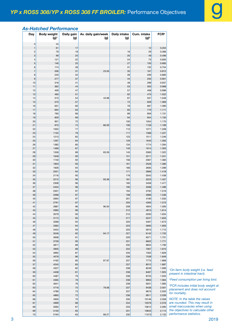# *As-Hatched Performance*

| Day                                     | <b>Body weight</b><br>$(g)^1$ | Daily gain<br>(g) | Av. daily gain/week<br>(g) | <b>Daily intake</b><br>(g) | Cum. intake<br>$(g)^2$ | FCR <sup>3</sup> |
|-----------------------------------------|-------------------------------|-------------------|----------------------------|----------------------------|------------------------|------------------|
|                                         |                               |                   |                            |                            |                        |                  |
| $\pmb{0}$                               | 44                            |                   |                            |                            |                        |                  |
| $\mathbf{1}$<br>$\overline{\mathbf{c}}$ | 61<br>79                      | 17<br>18          |                            | 16                         | 12<br>29               | 0.204<br>0.366   |
| 3                                       | 99                            | 20                |                            | 20                         | 49                     | 0.496            |
| $\overline{\mathcal{L}}$                | 121                           | 22                |                            | 24                         | 73                     | 0.600            |
| 5                                       | 146                           | 25                |                            | 27                         | 100                    | 0.685            |
| 6                                       | 174                           | 28                |                            | 31                         | 132                    | 0.754            |
| $\overline{7}$                          | 206                           | 31                | 23.05                      | 35                         | 167                    | 0.812            |
| 8                                       | 240                           | 34                |                            | 39                         | 206                    | 0.860            |
| 9                                       | 277                           | 37                |                            | 44                         | 250                    | 0.901            |
| 10                                      | 318                           | 41                |                            | 48                         | 298                    | 0.937            |
| 11                                      | 362                           | 44                |                            | 53                         | 350                    | 0.968            |
| 12                                      | 409                           | 47                |                            | 57                         | 408                    | 0.996            |
| 13<br>14                                | 460                           | 51<br>54          | 43.98                      | 62<br>67                   | 470                    | 1.022            |
| 15                                      | 513<br>570                    | 57                |                            | 72                         | 537<br>609             | 1.046<br>1.069   |
| 16                                      | 631                           | 60                |                            | 78                         | 687                    | 1.090            |
| 17                                      | 694                           | 63                |                            | 83                         | 770                    | 1.111            |
| 18                                      | 760                           | 66                |                            | 89                         | 859                    | 1.131            |
| 19                                      | 829                           | 69                |                            | 94                         | 954                    | 1.150            |
| 20                                      | 901                           | 72                |                            | 100                        | 1054                   | 1.170            |
| 21                                      | 975                           | 74                | 66.00                      | 106                        | 1159                   | 1.189            |
| 22                                      | 1052                          | 77                |                            | 112                        | 1271                   | 1.208            |
| 23                                      | 1132                          | 79                |                            | 117                        | 1388                   | 1.227            |
| 24                                      | 1213                          | 82                |                            | 123                        | 1511                   | 1.246            |
| 25                                      | 1297                          | 84                |                            | 129                        | 1640                   | 1.265            |
| 26                                      | 1382                          | 85                |                            | 134                        | 1774                   | 1.284            |
| 27<br>28                                | 1469<br>1558                  | 87<br>89          | 83.26                      | 140<br>145                 | 1914<br>2060           | 1.303<br>1.322   |
| 29                                      | 1648                          | 90                |                            | 151                        | 2211                   | 1.341            |
| 30                                      | 1740                          | 92                |                            | 156                        | 2367                   | 1.360            |
| 31                                      | 1833                          | 93                |                            | 161                        | 2528                   | 1.380            |
| 32                                      | 1926                          | 94                |                            | 166                        | 2695                   | 1.399            |
| 33                                      | 2021                          | 94                |                            | 171                        | 2866                   | 1.418            |
| 34                                      | 2116                          | 95                |                            | 176                        | 3042                   | 1.438            |
| 35                                      | 2212                          | 96                | 93.36                      | 181                        | 3223                   | 1.457            |
| 36                                      | 2308                          | 96                |                            | 185                        | 3408                   | 1.477            |
| 37                                      | 2404                          | 96                |                            | 190                        | 3598                   | 1.496            |
| 38                                      | 2501                          | 97                |                            | 194                        | 3792                   | 1.516            |
| 39                                      | 2598                          | 97                |                            | 198                        | 3989                   | 1.536            |
| 40<br>41                                | 2694<br>2791                  | 97<br>97          |                            | 201<br>205                 | 4190<br>4395           | 1.555<br>1.575   |
|                                         | 2887                          | 96                |                            |                            | 4604                   |                  |
| 42<br>43                                | 2983                          | 96                | 96.50                      | 208<br>212                 | 4815                   | 1.595<br>1.614   |
| 44                                      | 3079                          | 95                |                            | 215                        | 5030                   | 1.634            |
| 45                                      | 3174                          | 95                |                            | 217                        | 5247                   | 1.653            |
| 46                                      | 3268                          | 94                |                            | 220                        | 5467                   | 1.673            |
| 47                                      | 3362                          | 94                |                            | 223                        | 5690                   | 1.693            |
| 48                                      | 3454                          | 93                |                            | 225                        | 5915                   | 1.712            |
| 49                                      | 3546                          | 92                | 94.17                      | 227                        | 6142                   | 1.732            |
| 50                                      | 3638                          | 91                |                            | 229                        | 6371                   | 1.751            |
| 51                                      | 3728                          | 90                |                            | 231                        | 6602                   | 1.771            |
| 52                                      | 3817                          | 89                |                            | 232                        | 6834                   | 1.790            |
| 53                                      | 3905<br>3992                  | 88<br>87          |                            | 234                        | 7067                   | 1.810<br>1.829   |
| 54<br>55                                | 4078                          | 86                |                            | 235<br>236                 | 7302<br>7538           | 1.849            |
| 56                                      | 4162                          | 85                | 87.97                      | 237                        | 7775                   | 1.868            |
| 57                                      | 4245                          | 83                |                            | 237                        | 8012                   | 1.887            |
| 58                                      | 4327                          | 82                |                            | 238                        | 8249                   | 1.906            |
| 59                                      | 4408                          | 81                |                            | 238                        | 8487                   | 1.925            |
| 60                                      | 4487                          | 79                |                            | 238                        | 8725                   | 1.945            |
| 61                                      | 4565                          | 78                |                            | 238                        | 8963                   | 1.964            |
| 62                                      | 4641                          | 76                |                            | 238                        | 9201                   | 1.983            |
| 63                                      | 4716                          | 75                | 79.06                      | 237                        | 9438                   | 2.001            |
| 64                                      | 4789                          | 73                |                            | 237                        | 9675                   | 2.020            |
| 65                                      | 4860                          | 72                |                            | 236                        | 9911                   | 2.039            |
| 66                                      | 4930                          | 70                |                            | 235                        | 10146                  | 2.058            |
| 67                                      | 4999                          | 68                |                            | 234                        | 10379                  | 2.076            |
| 68<br>69                                | 5065<br>5130                  | 67                |                            | 233                        | 10612<br>10843         | 2.095<br>2.114   |
| 70                                      | 5194                          | 65<br>63          | 68.27                      | 231<br>230                 | 11073                  | 2.132            |
|                                         |                               |                   |                            |                            |                        |                  |

*On-farm body weight (i.e. feed present in intestinal tract).*

*Feed consumption per living bird.*

*FCR includes initial body weight at placement and does not account mortality.* 

*NTE: In the table the values are rounded. This may result in small inaccuracies when using the objectives to calculate other performance statistics.*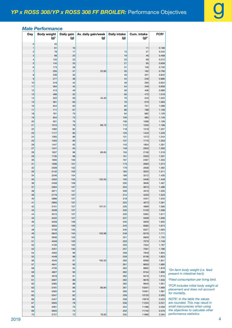|  | <b>Male Performance</b> |  |
|--|-------------------------|--|
|  |                         |  |

| Day                           | <b>Body weight</b><br>$(g)^{1}$ | Daily gain<br>(g) | Av. daily gain/week<br>(g) | <b>Daily intake</b><br>(g) | Cum. intake<br>$(g)^2$ | FCR <sup>3</sup> |  |
|-------------------------------|---------------------------------|-------------------|----------------------------|----------------------------|------------------------|------------------|--|
| $\mathbf 0$                   | 45                              |                   |                            |                            |                        |                  |  |
| $\mathbf{1}$                  | 61                              | 16                |                            |                            | 11                     | 0.188            |  |
| $\overline{\mathbf{c}}$       | 78                              | 17                |                            | 15                         | 27                     | 0.342            |  |
| 3<br>$\overline{\mathcal{L}}$ | 98<br>120                       | 20<br>22          |                            | 19<br>23                   | 46<br>69               | 0.468<br>0.572   |  |
| 5                             | 145                             | 25                |                            | 27                         | 95                     | 0.658            |  |
| 6                             | 173                             | 28                |                            | 31                         | 126                    | 0.730            |  |
| $\overline{7}$                | 205                             | 31                | 22.85                      | 35                         | 162                    | 0.790            |  |
| 8                             | 239                             | 35                |                            | 40                         | 201                    | 0.842            |  |
| 9                             | 277                             | 38                |                            | 44                         | 246                    | 0.886            |  |
| 10<br>11                      | 319<br>364                      | 42<br>45          |                            | 49<br>54                   | 295<br>349             | 0.924<br>0.958   |  |
| 12                            | 413                             | 49                |                            | 59                         | 408                    | 0.989            |  |
| 13                            | 466                             | 52                |                            | 65                         | 473                    | 1.016            |  |
| 14                            | 522                             | 56                | 45.30                      | 70                         | 543                    | 1.042            |  |
| 15                            | 581                             | 60                |                            | 76                         | 619                    | 1.065            |  |
| 16                            | 644                             | 63                |                            | 82                         | 701                    | 1.088            |  |
| 17                            | 711                             | 67                |                            | 88                         | 788                    | 1.109            |  |
| 18                            | 781                             | 70                |                            | 94                         | 882                    | 1.129            |  |
| 19<br>20                      | 854<br>931                      | 73<br>76          |                            | 100<br>106                 | 982<br>1088            | 1.149<br>1.169   |  |
| 21                            | 1010                            | 79                | 69.75                      | 112                        | 1200                   | 1.188            |  |
| 22                            | 1092                            | 82                |                            | 118                        | 1318                   | 1.207            |  |
| 23                            | 1177                            | 85                |                            | 125                        | 1443                   | 1.226            |  |
| 24                            | 1265                            | 88                |                            | 131                        | 1573                   | 1.244            |  |
| 25                            | 1355                            | 90                |                            | 137                        | 1710                   | 1.263            |  |
| 26                            | 1447                            | 92                |                            | 143                        | 1854                   | 1.281            |  |
| 27                            | 1541                            | 94                |                            | 149                        | 2003                   | 1.300            |  |
| 28                            | 1637                            | 96                | 89.65                      | 155                        | 2158                   | 1.318            |  |
| 29<br>30                      | 1735<br>1835                    | 98<br>100         |                            | 161<br>167                 | 2320<br>2487           | 1.337<br>1.355   |  |
| 31                            | 1936                            | 101               |                            | 173                        | 2660                   | 1.374            |  |
| 32                            | 2039                            | 102               |                            | 179                        | 2838                   | 1.392            |  |
| 33                            | 2142                            | 103               |                            | 184                        | 3022                   | 1.411            |  |
| 34                            | 2246                            | 104               |                            | 189                        | 3212                   | 1.430            |  |
| 35                            | 2352                            | 105               | 102.05                     | 195                        | 3406                   | 1.448            |  |
| 36                            | 2458                            | 106               |                            | 200                        | 3606                   | 1.467            |  |
| 37                            | 2564                            | 107               |                            | 204                        | 3810                   | 1.486            |  |
| 38<br>39                      | 2671<br>2779                    | 107<br>107        |                            | 209<br>214                 | 4019<br>4233           | 1.505<br>1.523   |  |
| 40                            | 2886                            | 107               |                            | 218                        | 4451                   | 1.542            |  |
| 41                            | 2993                            | 107               |                            | 222                        | 4673                   | 1.561            |  |
| 42                            | 3101                            | 107               | 107.01                     | 226                        | 4899                   | 1.580            |  |
| 43                            | 3208                            | 107               |                            | 230                        | 5129                   | 1.599            |  |
| 44                            | 3315                            | 107               |                            | 233                        | 5362                   | 1.617            |  |
| 45                            | 3422                            | 107               |                            | 237                        | 5599                   | 1.636            |  |
| 46<br>47                      | 3528                            | 106               |                            | 240<br>243                 | 5839                   | 1.655            |  |
| 48                            | 3634<br>3738                    | 106<br>105        |                            | 246                        | 6082<br>6327           | 1.674<br>1.693   |  |
| 49                            | 3843                            | 104               | 105.98                     | 248                        | 6576                   | 1.711            |  |
| 50                            | 3946                            | 103               |                            | 251                        | 6826                   | 1.730            |  |
| 51                            | 4049                            | 103               |                            | 253                        | 7079                   | 1.749            |  |
| 52                            | 4150                            | 102               |                            | 255                        | 7334                   | 1.767            |  |
| 53                            | 4251                            | 100               |                            | 257                        | 7591                   | 1.786            |  |
| 54                            | 4350                            | 99                |                            | 258                        | 7849                   | 1.804            |  |
| 55<br>56                      | 4448<br>4545                    | 98<br>97          | 100.33                     | 259<br>260                 | 8108<br>8368           | 1.823<br>1.841   |  |
| 57                            | 4641                            | 95                |                            | 261                        | 8630                   | 1.860            |  |
| 58                            | 4735                            | 94                |                            | 262                        | 8892                   | 1.878            |  |
| 59                            | 4827                            | 93                |                            | 262                        | 9154                   | 1.896            |  |
| 60                            | 4918                            | 91                |                            | 262                        | 9416                   | 1.915            |  |
| 61                            | 5007                            | 89                |                            | 262                        | 9678                   | 1.933            |  |
| 62                            | 5095                            | 88                |                            | 262                        | 9940                   | 1.951            |  |
| 63                            | 5181                            | 86                | 90.84                      | 261                        | 10201                  | 1.969            |  |
| 64<br>65                      | 5265<br>5347                    | 84<br>82          |                            | 260<br>259                 | 10461<br>10720         | 1.987<br>2.005   |  |
| 66                            | 5427                            | 80                |                            | 258                        | 10978                  | 2.023            |  |
| 67                            | 5505                            | 78                |                            | 256                        | 11234                  | 2.041            |  |
| 68                            | 5581                            | 76                |                            | 254                        | 11488                  | 2.058            |  |
| 69                            | 5655                            | 74                |                            | 252                        | 11740                  | 2.076            |  |
| 70                            | 5727                            | 72                | 78.00                      | 250                        | 11989                  | 2.094            |  |

*Feed consumption per living bird.*

 *FCR includes initial body weight at placement and does not account for mortality.*

*NOTE: In the table the values are rounded. This may result in small inaccuracies when using the objectives to calculate other performance statistics.*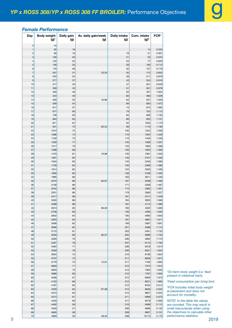|   | Day                            | <b>Body weight</b><br>$(g)^{1}$ | Daily gain<br>(g) | Av. daily gain/week<br>(g) | <b>Daily intake</b><br>(g) | Cum. intake<br>$(g)^2$ | FCR <sup>3</sup> |                                                                            |
|---|--------------------------------|---------------------------------|-------------------|----------------------------|----------------------------|------------------------|------------------|----------------------------------------------------------------------------|
|   | $\pmb{0}$                      | 44                              |                   |                            |                            |                        |                  |                                                                            |
|   | $\mathbf{1}$                   | 62                              | 18                |                            |                            | 14                     | 0.220            |                                                                            |
|   | $\mathbf{2}$                   | 80                              | 18                |                            | 18<br>21                   | 31                     | 0.391            |                                                                            |
|   | $\ensuremath{\mathsf{3}}$<br>4 | 100<br>122                      | 20<br>23          |                            | 25                         | 52<br>77               | 0.524<br>0.629   |                                                                            |
|   | $\mathbf 5$                    | 148                             | 25                |                            | 28                         | 105                    | 0.712            |                                                                            |
|   | 6                              | 176                             | 28                |                            | 32                         | 137                    | 0.779            |                                                                            |
|   | $\overline{7}$                 | 207                             | 31                | 23.25                      | 35                         | 172                    | 0.833            |                                                                            |
|   | 8                              | 240                             | 34                |                            | 39                         | 211                    | 0.878            |                                                                            |
|   | $9\,$<br>$10$                  | 277<br>317                      | 37<br>40          |                            | 43<br>47                   | 254<br>301             | 0.916<br>0.949   |                                                                            |
|   | 11                             | 359                             | 43                |                            | 51                         | 351                    | 0.978            |                                                                            |
|   | 12                             | 405                             | 46                |                            | 55                         | 407                    | 1.004            |                                                                            |
|   | 13                             | 454                             | 49                |                            | 60                         | 466                    | 1.028            |                                                                            |
|   | 14                             | 505                             | 52                | 42.66                      | 64                         | 531                    | 1.050            |                                                                            |
|   | 15                             | 559                             | 54                |                            | 69                         | 600                    | 1.072            |                                                                            |
|   | 16                             | 617                             | 57                |                            | 74                         | 674                    | 1.092            |                                                                            |
|   | $17$<br>18                     | 677<br>739                      | 60<br>62          |                            | 79<br>84                   | 752<br>836             | 1.112<br>1.132   |                                                                            |
|   | 19                             | 804                             | 65                |                            | 89                         | 925                    | 1.151            |                                                                            |
|   | 20                             | 871                             | 67                |                            | 94                         | 1020                   | 1.170            |                                                                            |
|   | 21                             | 941                             | $70$              | 62.24                      | 99                         | 1119                   | 1.190            |                                                                            |
|   | 22                             | 1012                            | 72                |                            | 105                        | 1224                   | 1.209            |                                                                            |
|   | 23                             | 1086                            | 74                |                            | 110                        | 1334                   | 1.228            |                                                                            |
|   | 24                             | 1162                            | 75                |                            | 115                        | 1449                   | 1.248            |                                                                            |
|   | 25                             | 1239                            | 77                |                            | 120                        | 1569                   | 1.267            |                                                                            |
|   | 26<br>27                       | 1317<br>1398                    | 79<br>80          |                            | 125<br>130                 | 1695<br>1825           | 1.286<br>1.306   |                                                                            |
|   | 28                             | 1479                            | 81                | 76.88                      | 135                        | 1961                   | 1.326            |                                                                            |
|   | 29                             | 1561                            | 82                |                            | 140                        | 2101                   | 1.346            |                                                                            |
|   | 30                             | 1645                            | 83                |                            | 145                        | 2246                   | 1.366            |                                                                            |
|   | 31                             | 1729                            | 84                |                            | 150                        | 2396                   | 1.386            |                                                                            |
|   | 32                             | 1814                            | 85                |                            | 154                        | 2550                   | 1.406            |                                                                            |
|   | 33                             | 1900                            | 85                |                            | 158                        | 2708                   | 1.426            |                                                                            |
|   | 34<br>35                       | 1985<br>2072                    | 86<br>86          | 84.67                      | 163<br>167                 | 2871<br>3038           | 1.446<br>1.466   |                                                                            |
|   | 36                             | 2158                            | 86                |                            | 171                        | 3208                   | 1.487            |                                                                            |
|   | 37                             | 2244                            | 86                |                            | 174                        | 3382                   | 1.507            |                                                                            |
|   | 38                             | 2331                            | 86                |                            | 178                        | 3560                   | 1.527            |                                                                            |
|   | 39                             | 2417                            | 86                |                            | 181                        | 3741                   | 1.548            |                                                                            |
|   | 40                             | 2503                            | 86                |                            | 184                        | 3925                   | 1.568            |                                                                            |
|   | 41                             | 2588                            | 86                |                            | 187                        | 4112                   | 1.589            |                                                                            |
|   | 42<br>43                       | 2674                            | 85<br>85          | 86.00                      | 190<br>193                 | 4302<br>4495           | 1.609<br>1.630   |                                                                            |
|   | 44                             | 2758<br>2842                    | 84                |                            | 195                        | 4690                   | 1.650            |                                                                            |
|   | 45                             | 2925                            | 83                |                            | 197                        | 4887                   | 1.671            |                                                                            |
|   | 46                             | 3008                            | 82                |                            | 199                        | 5087                   | 1.691            |                                                                            |
|   | 47                             | 3090                            | 82                |                            | 201                        | 5288                   | 1.712            |                                                                            |
|   | 48                             | 3170                            | 81                |                            | 203                        | 5491                   | 1.732            |                                                                            |
|   | 49                             | 3250                            | 80                | 82.37                      | 205                        | 5696                   | 1.753            |                                                                            |
|   | 50<br>51                       | 3329                            | 79                |                            | 206<br>207                 | 5902                   | 1.773<br>1.793   |                                                                            |
|   | 52                             | 3407<br>3484                    | 78<br>77          |                            | 208                        | 6110<br>6318           | 1.814            |                                                                            |
|   | 53                             | 3559                            | 76                |                            | 209                        | 6527                   | 1.834            |                                                                            |
|   | 54                             | 3634                            | 75                |                            | 210                        | 6738                   | 1.854            |                                                                            |
|   | 55                             | 3707                            | 73                |                            | 211                        | 6949                   | 1.874            |                                                                            |
|   | 56                             | 3779                            | 72                | 75.61                      | 211                        | 7160                   | 1.895            |                                                                            |
|   | 57                             | 3850                            | 71                |                            | 212                        | 7372                   | 1.915            |                                                                            |
|   | 58                             | 3920                            | 70                |                            | 212                        | 7584                   | 1.935            | <sup>1</sup> On-farm body weight (i.e. feed                                |
|   | 59<br>60                       | 3989<br>4056                    | 69<br>67          |                            | 212<br>212                 | 7797<br>8009           | 1.955<br>1.975   | present in intestinal tract).                                              |
|   | 61                             | 4122                            | 66                |                            | 212                        | 8221                   | 1.995            | <sup>2</sup> Feed consumption per living bird.                             |
|   | 62                             | 4187                            | 65                |                            | 212                        | 8434                   | 2.014            |                                                                            |
|   | 63                             | 4250                            | 64                | 67.28                      | 212                        | 8646                   | 2.034            | <sup>3</sup> FCR includes initial body weight<br>at placement and does not |
|   | 64                             | 4313                            | 62                |                            | 212                        | 8857                   | 2.054            | account for mortality.                                                     |
|   | 65                             | 4374                            | 61                |                            | 211                        | 9068                   | 2.073            |                                                                            |
|   | 66                             | 4433                            | 60                |                            | 211                        | 9279                   | 2.093            | NOTE: In the table the values                                              |
|   | 67<br>68                       | 4492<br>4549                    | 59<br>57          |                            | 210<br>209                 | 9489<br>9698           | 2.112<br>2.132   | are rounded. This may result in<br>small inaccuracies when using           |
|   | 69                             | 4605                            | 56                |                            | 209                        | 9907                   | 2.151            | the objectives to calculate other                                          |
|   | 70                             | 4660                            | 55                | 58.55                      | 208                        | 10115                  | 2.170            | performance statistics.                                                    |
| 5 |                                |                                 |                   |                            |                            |                        |                  | 2019                                                                       |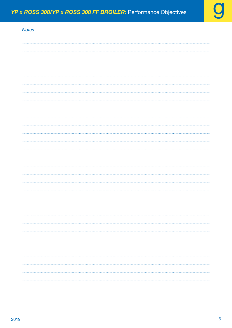| <b>Notes</b> |  |
|--------------|--|
|              |  |
|              |  |
|              |  |
|              |  |
|              |  |
|              |  |
|              |  |
|              |  |
|              |  |
|              |  |
|              |  |
|              |  |
|              |  |
|              |  |
|              |  |
|              |  |
|              |  |
|              |  |
|              |  |
|              |  |
|              |  |
|              |  |
|              |  |
|              |  |
|              |  |
|              |  |
|              |  |
|              |  |
|              |  |
|              |  |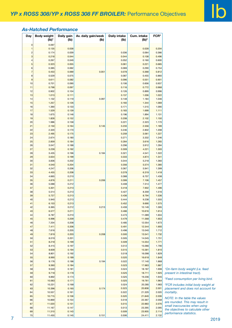# *As-Hatched Performance*

| Day            | <b>Body weight</b><br>$(Ib)^1$ | Daily gain<br>(lb) | Av. daily gain/week<br>(Ib) | <b>Daily intake</b><br>(Ib) | Cum. intake<br>$(Ib)^2$ | FCR <sup>3</sup> |                                                  |
|----------------|--------------------------------|--------------------|-----------------------------|-----------------------------|-------------------------|------------------|--------------------------------------------------|
| $\mathbf 0$    | 0.097                          |                    |                             |                             |                         |                  |                                                  |
| 1              | 0.135                          | 0.038              |                             |                             | 0.028                   | 0.204            |                                                  |
| $\overline{c}$ | 0.174                          | 0.039              |                             | 0.036                       | 0.064                   | 0.366            |                                                  |
| 3              | 0.218                          | 0.044              |                             | 0.044                       | 0.108                   | 0.496            |                                                  |
| 4              | 0.267                          | 0.049              |                             | 0.052                       | 0.160                   | 0.600            |                                                  |
| $\sqrt{5}$     | 0.323                          | 0.055              |                             | 0.061                       | 0.221                   | 0.685            |                                                  |
| 6              | 0.385                          | 0.062              |                             | 0.069                       | 0.290                   | 0.754            |                                                  |
| $\overline{7}$ | 0.453                          | 0.069              | 0.051                       | 0.078                       | 0.368                   | 0.812            |                                                  |
| 8              | 0.529                          | 0.075              |                             | 0.087                       | 0.455                   | 0.860            |                                                  |
| $\overline{9}$ | 0.611                          | 0.082              |                             | 0.096                       | 0.551                   | 0.901            |                                                  |
| 10             | 0.701                          | 0.090              |                             | 0.106                       | 0.656                   | 0.937            |                                                  |
| 11             | 0.798                          | 0.097              |                             | 0.116                       | 0.772                   | 0.968            |                                                  |
|                | 0.902                          | 0.104              |                             | 0.126                       | 0.899                   | 0.996            |                                                  |
| 12             |                                |                    |                             |                             |                         |                  |                                                  |
| 13             | 1.013                          | 0.111              |                             | 0.137                       | 1.036                   | 1.022            |                                                  |
| 14             | 1.132                          | 0.119              | 0.097                       | 0.148                       | 1.184                   | 1.046            |                                                  |
| 15             | 1.257                          | 0.126              |                             | 0.160                       | 1.344                   | 1.069            |                                                  |
| 16             | 1.390                          | 0.133              |                             | 0.171                       | 1.515                   | 1.090            |                                                  |
| 17             | 1.529                          | 0.139              |                             | 0.183                       | 1.699                   | 1.111            |                                                  |
| 18             | 1.675                          | 0.146              |                             | 0.196                       | 1.894                   | 1.131            |                                                  |
| 19             | 1.828                          | 0.152              |                             | 0.208                       | 2.102                   | 1.150            |                                                  |
| 20             | 1.986                          | 0.158              |                             | 0.221                       | 2.323                   | 1.170            |                                                  |
| 21             | 2.150                          | 0.164              | 0.145                       | 0.233                       | 2.556                   | 1.189            |                                                  |
| 22             | 2.320                          | 0.170              |                             | 0.246                       | 2.802                   | 1.208            |                                                  |
| 23             | 2.495                          | 0.175              |                             | 0.259                       | 3.061                   | 1.227            |                                                  |
|                |                                |                    |                             |                             |                         |                  |                                                  |
| 24             | 2.674                          | 0.180              |                             | 0.271                       | 3.332                   | 1.246            |                                                  |
| 25             | 2.859                          | 0.184              |                             | 0.284                       | 3.616                   | 1.265            |                                                  |
| 26             | 3.047                          | 0.188              |                             | 0.296                       | 3.912                   | 1.284            |                                                  |
| 27             | 3.239                          | 0.192              |                             | 0.309                       | 4.221                   | 1.303            |                                                  |
| 28             | 3.435                          | 0.196              | 0.184                       | 0.321                       | 4.541                   | 1.322            |                                                  |
| 29             | 3.634                          | 0.199              |                             | 0.333                       | 4.874                   | 1.341            |                                                  |
| 30             | 3.836                          | 0.202              |                             | 0.344                       | 5.218                   | 1.360            |                                                  |
| 31             | 4.040                          | 0.204              |                             | 0.356                       | 5.574                   | 1.380            |                                                  |
| 32             | 4.247                          | 0.206              |                             | 0.367                       | 5.941                   | 1.399            |                                                  |
| 33             | 4.455                          | 0.208              |                             | 0.378                       | 6.319                   | 1.418            |                                                  |
| 34             | 4.665                          | 0.210              |                             | 0.388                       | 6.707                   | 1.438            |                                                  |
|                |                                |                    |                             |                             |                         |                  |                                                  |
| $35\,$         | 4.876                          | 0.211              | 0.206                       | 0.399                       | 7.106                   | 1.457            |                                                  |
| 36             | 5.088                          | 0.212              |                             | 0.408                       | 7.514                   | 1.477            |                                                  |
| 37             | 5.301                          | 0.213              |                             | 0.418                       | 7.932                   | 1.496            |                                                  |
| 38             | 5.514                          | 0.213              |                             | 0.427                       | 8.359                   | 1.516            |                                                  |
| 39             | 5.727                          | 0.213              |                             | 0.436                       | 8.794                   | 1.536            |                                                  |
| 40             | 5.940                          | 0.213              |                             | 0.444                       | 9.238                   | 1.555            |                                                  |
| 41             | 6.153                          | 0.213              |                             | 0.452                       | 9.690                   | 1.575            |                                                  |
| 42             | 6.365                          | 0.212              | 0.213                       | 0.459                       | 10.149                  | 1.595            |                                                  |
| 43             | 6.577                          | 0.211              |                             | 0.466                       | 10.616                  | 1.614            |                                                  |
| 44             | 6.787                          | 0.210              |                             | 0.473                       | 11.089                  | 1.634            |                                                  |
| 45             | 6.996                          | 0.209              |                             | 0.479                       | 11.568                  | 1.653            |                                                  |
| 46             | 7.204                          | 0.208              |                             | 0.485                       | 12.054                  | 1.673            |                                                  |
|                |                                |                    |                             |                             | 12.544                  |                  |                                                  |
| 47             | 7.411                          | 0.206              |                             | 0.491                       |                         | 1.693            |                                                  |
| 48             | 7.616                          | 0.205              |                             | 0.496                       | 13.040                  | 1.712            |                                                  |
| 49             | 7.819                          | 0.203              | 0.208                       | 0.500                       | 13.541                  | 1.732            |                                                  |
| 50             | 8.019                          | 0.201              |                             | 0.505                       | 14.045                  | 1.751            |                                                  |
| 51             | 8.218                          | 0.199              |                             | 0.509                       | 14.554                  | 1.771            |                                                  |
| 52             | 8.415                          | 0.197              |                             | 0.512                       | 15.066                  | 1.790            |                                                  |
| 53             | 8.609                          | 0.194              |                             | 0.515                       | 15.581                  | 1.810            |                                                  |
| 54             | 8.801                          | 0.192              |                             | 0.518                       | 16.098                  | 1.829            |                                                  |
| 55             | 8.990                          | 0.189              |                             | 0.520                       | 16.618                  | 1.849            |                                                  |
| 56             | 9.176                          | 0.186              | 0.194                       | 0.522                       | 17.140                  | 1.868            |                                                  |
| 57             | 9.360                          | 0.184              |                             | 0.523                       | 17.663                  | 1.887            |                                                  |
|                | 9.540                          | 0.181              |                             | 0.524                       | 18.187                  |                  | <sup>1</sup> On-farm body weight (i.e. feed      |
| 58             |                                |                    |                             |                             |                         | 1.906            |                                                  |
| 59             | 9.718                          | 0.178              |                             | 0.525                       | 18.711                  | 1.925            | present in intestinal tract).                    |
| 60             | 9.892                          | 0.174              |                             | 0.525                       | 19.236                  | 1.945            | <sup>2</sup> Feed consumption per living bird.   |
| 61             | 10.063                         | 0.171              |                             | 0.525                       | 19.761                  | 1.964            |                                                  |
| 62             | 10.231                         | 0.168              |                             | 0.524                       | 20.285                  | 1.983            | <sup>3</sup> FCR includes initial body weight at |
| 63             | 10.396                         | 0.165              | 0.174                       | 0.523                       | 20.808                  | 2.001            | placement and does not account for               |
| 64             | 10.557                         | 0.161              |                             | 0.522                       | 21.329                  | 2.020            | mortality.                                       |
| 65             | 10.715                         | 0.158              |                             | 0.520                       | 21.849                  | 2.039            |                                                  |
| 66             | 10.869                         | 0.154              |                             | 0.518                       | 22.367                  | 2.058            | NOTE: In the table the values                    |
| 67             | 11.020                         | 0.151              |                             | 0.515                       | 22.883                  | 2.076            | are rounded. This may result in                  |
| 68             | 11.167                         | 0.147              |                             | 0.513                       | 23.395                  | 2.095            | small inaccuracies when using                    |
| 69             |                                |                    |                             |                             |                         |                  | the objectives to calculate other                |
|                | 11.310                         | 0.143              |                             | 0.509                       | 23.905                  | 2.114            | performance statistics.                          |
| 70             | 11.450                         | 0.140              | 0.151                       | 0.506                       | 24.411                  | 2.132            |                                                  |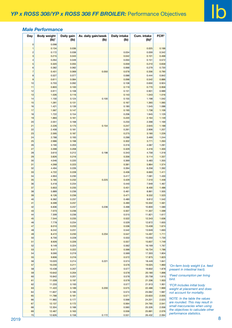## *Male Performance*

| Day                     | <b>Body weight</b><br>Daily gain<br>$(Ib)^1$ | (Ib)  | Av. daily gain/week<br>(lb) | Daily intake<br>(Ib) | Cum. intake<br>(Ib) <sup>2</sup> | FCR <sup>3</sup> |                                             |
|-------------------------|----------------------------------------------|-------|-----------------------------|----------------------|----------------------------------|------------------|---------------------------------------------|
| $\mathbf 0$             | 0.098                                        |       |                             |                      |                                  |                  |                                             |
| $\overline{1}$          | 0.134                                        | 0.036 |                             |                      | 0.025                            | 0.188            |                                             |
| $\overline{\mathbf{c}}$ | 0.172                                        | 0.038 |                             | 0.034                | 0.059                            | 0.342            |                                             |
| $\mathbf{3}$            | 0.215                                        | 0.043 |                             | 0.042                | 0.101                            | 0.468            |                                             |
| $\overline{a}$          | 0.264                                        | 0.049 |                             | 0.050                | 0.151                            | 0.572            |                                             |
| $\overline{5}$          | 0.320                                        | 0.055 |                             | 0.059                | 0.210                            | 0.658            |                                             |
| $\,6$                   | 0.382                                        | 0.062 |                             | 0.068                | 0.279                            | 0.730            |                                             |
| $\overline{7}$          | 0.451                                        | 0.069 | 0.050                       | 0.078                | 0.356                            | 0.790            |                                             |
| 8                       | 0.527                                        | 0.077 |                             | 0.088                | 0.444                            | 0.842            |                                             |
| 9                       | 0.611                                        | 0.084 |                             | 0.098                | 0.542                            | 0.886            |                                             |
| 10                      | 0.703                                        | 0.092 |                             | 0.108                | 0.650                            | 0.924            |                                             |
| 11                      | 0.803                                        | 0.100 |                             | 0.119                | 0.770                            | 0.958            |                                             |
| 12                      | 0.911                                        | 0.108 |                             | 0.131                | 0.901                            | 0.989            |                                             |
| 13                      | 1.026                                        | 0.116 |                             | 0.143                | 1.043                            | 1.016            |                                             |
| 14                      | 1.150                                        | 0.124 | 0.100                       | 0.155                | 1.198                            | 1.042            |                                             |
| 15                      | 1.281                                        | 0.131 |                             | 0.167                | 1.365                            | 1.065            |                                             |
| 16                      | 1.421                                        | 0.139 |                             | 0.180                | 1.545                            | 1.088            |                                             |
| 17                      | 1.567                                        | 0.147 |                             | 0.193                | 1.738                            | 1.109            |                                             |
| 18                      | 1.722                                        | 0.154 |                             | 0.206                | 1.945                            | 1.129            |                                             |
| 19                      | 1.883                                        | 0.161 |                             | 0.220                | 2.164                            | 1.149            |                                             |
| 20                      | 2.051                                        | 0.168 |                             | 0.233                | 2.398                            | 1.169            |                                             |
| 21                      | 2.226                                        | 0.175 | 0.154                       | 0.247                | 2.645                            | 1.188            |                                             |
| 22                      | 2.408                                        | 0.181 |                             | 0.261                | 2.906                            | 1.207            |                                             |
| 23                      | 2.595                                        | 0.187 |                             | 0.275                | 3.180                            | 1.226            |                                             |
| 24                      | 2.788                                        | 0.193 |                             | 0.288                | 3.469                            | 1.244            |                                             |
| 25                      | 2.986                                        | 0.198 |                             | 0.302                | 3.771                            | 1.263            |                                             |
| 26                      | 3.190                                        | 0.203 |                             | 0.316                | 4.087                            | 1.281            |                                             |
| 27                      | 3.398                                        | 0.208 |                             | 0.329                | 4.416                            | 1.300            |                                             |
| 28                      | 3.610                                        | 0.212 | 0.198                       | 0.343                | 4.758                            | 1.318            |                                             |
| 29                      | 3.826                                        | 0.216 |                             | 0.356                | 5.114                            | 1.337            |                                             |
| 30                      | 4.046                                        | 0.220 |                             | 0.369                | 5.483                            | 1.355            |                                             |
| 31                      | 4.268                                        | 0.223 |                             | 0.381                | 5.864                            | 1.374            |                                             |
| 32                      | 4.494                                        | 0.226 |                             | 0.394                | 6.258                            | 1.392            |                                             |
| 33                      | 4.722                                        | 0.228 |                             | 0.406                | 6.663                            | 1.411            |                                             |
| 34                      | 4.953                                        | 0.230 |                             | 0.417                | 7.081                            | 1.430            |                                             |
| 35                      | 5.185                                        | 0.232 | 0.225                       | 0.429                | 7.510                            | 1.448            |                                             |
| 36                      | 5.418                                        | 0.234 |                             | 0.440                | 7.949                            | 1.467            |                                             |
| 37                      | 5.653                                        | 0.235 |                             | 0.451                | 8.400                            | 1.486            |                                             |
| 38                      | 5.889                                        | 0.236 |                             | 0.461                | 8.861                            | 1.505            |                                             |
| 39                      | 6.126                                        | 0.236 |                             | 0.471                | 9.332                            | 1.523            |                                             |
| 40                      | 6.362                                        | 0.237 |                             | 0.480                | 9.812                            | 1.542            |                                             |
| 41                      | 6.599                                        | 0.237 |                             | 0.490                | 10.302                           | 1.561            |                                             |
| 42                      | 6.836                                        | 0.237 | 0.236                       | 0.498                | 10.800                           | 1.580            |                                             |
| 43                      | 7.073                                        | 0.236 |                             | 0.507                | 11.307                           | 1.599            |                                             |
| 44                      | 7.309                                        | 0.236 |                             | 0.515                | 11.821                           | 1.617            |                                             |
| 45                      | 7.544                                        | 0.235 |                             | 0.522                | 12.343                           | 1.636            |                                             |
| 46                      | 7.778                                        | 0.234 |                             | 0.529                | 12.872                           | 1.655            |                                             |
| 47                      | 8.010                                        | 0.233 |                             | 0.536                | 13.408                           | 1.674            |                                             |
| 48                      | 8.242                                        | 0.231 |                             | 0.542                | 13.949                           | 1.693            |                                             |
| 49                      | 8.472                                        | 0.230 | 0.234                       | 0.547                | 14.497                           | 1.711            |                                             |
| 50                      | 8.700                                        | 0.228 |                             | 0.553                | 15.050                           | 1.730            |                                             |
| 51                      | 8.926                                        | 0.226 |                             | 0.557                | 15.607                           | 1.749            |                                             |
| 52                      | 9.149                                        | 0.224 |                             | 0.562                | 16.169                           | 1.767            |                                             |
| 53                      | 9.371                                        | 0.222 |                             | 0.566                | 16.734                           | 1.786            |                                             |
| 54                      | 9.590                                        | 0.219 |                             | 0.569                | 17.303                           | 1.804            |                                             |
| 55                      | 9.806                                        | 0.216 |                             | 0.572                | 17.875                           | 1.823            |                                             |
| 56                      | 10.020                                       | 0.214 | 0.221                       | 0.574                | 18.449                           | 1.841            |                                             |
| 57                      | 10.230                                       | 0.211 |                             | 0.576                | 19.025                           | 1.860            | <sup>1</sup> On-farm body weight (i.e. feed |
| 58                      | 10.438                                       | 0.207 |                             | 0.577                | 19.602                           | 1.878            | present in intestinal tract).               |
| 59                      | 10.642                                       | 0.204 |                             | 0.578                | 20.180                           | 1.896            |                                             |
| 60                      | 10.842                                       | 0.201 |                             | 0.578                | 20.758                           | 1.915            | <sup>2</sup> Feed consumption per living    |
| 61                      | 11.039                                       | 0.197 |                             | 0.578                | 21.336                           | 1.933            | bird.                                       |
| 62                      | 11.233                                       | 0.193 |                             | 0.577                | 21.913                           | 1.951            | <sup>3</sup> FCR includes initial body      |
| 63                      | 11.422                                       | 0.189 | 0.200                       | 0.575                | 22.488                           | 1.969            | weight at placement and does                |
| 64                      | 11.607                                       | 0.185 |                             | 0.574                | 23.062                           | 1.987            | not account for mortality.                  |
| 65                      | 11.788                                       | 0.181 |                             | 0.571                | 23.633                           | 2.005            |                                             |
| 66                      | 11.965                                       | 0.177 |                             | 0.568                | 24.201                           | 2.023            | NOTE: In the table the values               |
| 67                      | 12.137                                       | 0.172 |                             | 0.564                | 24.765                           | 2.041            | are rounded. This may result in             |
| 68                      | 12.304                                       | 0.168 |                             | 0.560                | 25.326                           | 2.058            | small inaccuracies when using               |
| 69                      | 12.467                                       | 0.163 |                             | 0.556                | 25.881                           | 2.076            | the objectives to calculate other           |
|                         |                                              |       |                             |                      |                                  |                  | performance statistics.                     |
| 70                      | 12.626                                       | 0.158 | 0.172                       | 0.551                |                                  | 26.432           | 2.094                                       |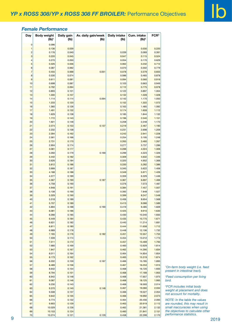# *Female Performance*

| Day              | <b>Body weight</b><br>$(Ib)^1$ | Daily gain<br>(lb) | Av. daily gain/week<br>(lb) | <b>Daily intake</b><br>(Ib) | Cum. intake<br>$(Ib)^2$ | FCR <sup>3</sup> |                                             |
|------------------|--------------------------------|--------------------|-----------------------------|-----------------------------|-------------------------|------------------|---------------------------------------------|
| $\pmb{0}$        | 0.096                          |                    |                             |                             |                         |                  |                                             |
| $\overline{1}$   | 0.136                          | 0.039              |                             |                             | 0.030                   | 0.220            |                                             |
| $\sqrt{2}$       | 0.176                          | 0.040              |                             | 0.039                       | 0.069                   | 0.391            |                                             |
| 3                | 0.220                          | 0.045              |                             | 0.047                       | 0.115                   | 0.524            |                                             |
| $\overline{a}$   | 0.270                          | 0.050              |                             | 0.054                       | 0.170                   | 0.629            |                                             |
| $\sqrt{5}$       | 0.326                          | 0.056              |                             | 0.062                       | 0.232                   | 0.712            |                                             |
| $\,6\,$          | 0.387                          | 0.062              |                             | 0.070                       | 0.302                   | 0.779            |                                             |
| $\overline{7}$   | 0.455                          | 0.068              | 0.051                       | 0.078                       | 0.379                   | 0.833            |                                             |
| $\bf8$           | 0.530                          | 0.074              |                             | 0.086                       | 0.465                   | 0.878            |                                             |
| $\boldsymbol{9}$ | 0.611                          | 0.081              |                             | 0.094                       | 0.560                   | 0.916            |                                             |
| 10               | 0.698                          | 0.087              |                             | 0.103                       | 0.663                   | 0.949            |                                             |
| 11               | 0.792                          | 0.094              |                             | 0.112                       | 0.775                   | 0.978            |                                             |
| 12               | 0.893                          | 0.101              |                             | 0.122                       | 0.897                   | 1.004            |                                             |
| 13               | 1.000                          | 0.107              |                             | 0.132                       | 1.028                   | 1.028            |                                             |
| 14               | 1.114                          | 0.114              | 0.094                       | 0.142                       | 1.170                   | 1.050            |                                             |
| 15               | 1.233                          | 0.120              |                             | 0.152                       | 1.322                   | 1.072            |                                             |
| 16               | 1.360                          | 0.126              |                             | 0.163                       | 1.485                   | 1.092            |                                             |
| 17               | 1.491                          | 0.132              |                             | 0.174                       | 1.659                   | 1.112            |                                             |
| 18               | 1.629                          | 0.138              |                             | 0.185                       | 1.844                   | 1.132            |                                             |
| 19               | 1.772                          | 0.143              |                             | 0.196                       | 2.040                   | 1.151            |                                             |
| 20               | 1.921                          | 0.148              |                             | 0.208                       | 2.248                   | 1.170            |                                             |
| 21               | 2.074                          | 0.153              | 0.137                       | 0.219                       | 2.467                   | 1.190            |                                             |
| 22               | 2.232                          | 0.158              |                             | 0.231                       | 2.698                   | 1.209            |                                             |
| 23               | 2.394                          | 0.162              |                             | 0.242                       | 2.941                   | 1.228            |                                             |
| 24               | 2.561                          | 0.166              |                             | 0.254                       | 3.195                   | 1.248            |                                             |
| 25               | 2.731                          | 0.170              |                             | 0.265                       | 3.460                   | 1.267            |                                             |
| 26               | 2.904                          | 0.174              |                             | 0.277                       | 3.737                   | 1.286            |                                             |
| 27               | 3.081                          | 0.177              |                             | 0.288                       | 4.024                   | 1.306            |                                             |
| 28               | 3.260                          | 0.179              | 0.169                       | 0.299                       | 4.323                   | 1.326            |                                             |
| 29               | 3.442                          | 0.182              |                             | 0.309                       | 4.632                   | 1.346            |                                             |
| $30\,$           | 3.626                          | 0.184              |                             | 0.320                       | 4.952                   | 1.366            |                                             |
| 31               | 3.812                          | 0.186              |                             | 0.330                       | 5.282                   | 1.386            |                                             |
| 32               | 3.999                          | 0.187              |                             | 0.340                       | 5.622                   | 1.406            |                                             |
|                  |                                |                    |                             |                             |                         |                  |                                             |
| 33               | 4.188                          | 0.188              |                             | 0.349                       | 5.971                   | 1.426            |                                             |
| 34               | 4.377                          | 0.189              |                             | 0.359                       | 6.329                   | 1.446            |                                             |
| $35\,$           | 4.567                          | 0.190              | 0.187                       | 0.367                       | 6.697                   | 1.466            |                                             |
| 36               | 4.758                          | 0.190              |                             | 0.376                       | 7.073                   | 1.487            |                                             |
| 37               | 4.948                          | 0.191              |                             | 0.384                       | 7.457                   | 1.507            |                                             |
| 38               | 5.138                          | 0.190              |                             | 0.392                       | 7.848                   | 1.527            |                                             |
| 39               | 5.329                          | 0.190              |                             | 0.399                       | 8.247                   | 1.548            |                                             |
| 40               | 5.518                          | 0.189              |                             | 0.406                       | 8.654                   | 1.568            |                                             |
| 41               | 5.707                          | 0.189              |                             | 0.413                       | 9.066                   | 1.589            |                                             |
| 42               | 5.894                          | 0.188              | 0.190                       | 0.419                       | 9.485                   | 1.609            |                                             |
| 43               | 6.081                          | 0.186              |                             | 0.425                       | 9.910                   | 1.630            |                                             |
| 44               | 6.266                          | 0.185              |                             | 0.430                       | 10.340                  | 1.650            |                                             |
| 45               | 6.449                          | 0.184              |                             | 0.435                       | 10.775                  | 1.671            |                                             |
| 46               | 6.631                          | 0.182              |                             | 0.440                       | 11.214                  | 1.691            |                                             |
| 47               | 6.811                          | 0.180              |                             | 0.444                       | 11.658                  | 1.712            |                                             |
| 48               | 6.989                          | 0.178              |                             | 0.448                       | 12.106                  | 1.732            |                                             |
| 49               | 7.165                          | 0.176              | 0.182                       | 0.451                       | 12.557                  | 1.753            |                                             |
| 50               | 7.339                          | 0.174              |                             | 0.454                       | 13.012                  | 1.773            |                                             |
| 51               | 7.511                          | 0.172              |                             | 0.457                       | 13.469                  | 1.793            |                                             |
| 52               | 7.680                          | 0.169              |                             | 0.460                       | 13.929                  | 1.814            |                                             |
| 53               | 7.847                          | 0.167              |                             | 0.462                       | 14.390                  | 1.834            |                                             |
| 54               | 8.011                          | 0.164              |                             | 0.464                       | 14.854                  | 1.854            |                                             |
| 55               | 8.173                          | 0.162              |                             | 0.465                       | 15.319                  | 1.874            |                                             |
| 56               | 8.332                          | 0.159              | 0.167                       | 0.466                       | 15.785                  | 1.895            |                                             |
| 57               | 8.489                          | 0.156              |                             | 0.467                       | 16.253                  | 1.915            | <sup>1</sup> On-farm body weight (i.e. feed |
| 58               | 8.642                          | 0.154              |                             | 0.468                       | 16.720                  | 1.935            | present in intestinal tract).               |
| 59               | 8.794                          | 0.151              |                             | 0.468                       | 17.189                  | 1.955            |                                             |
| 60               | 8.942                          | 0.148              |                             | 0.468                       | 17.657                  | 1.975            | <sup>2</sup> Feed consumption per living    |
| 61               | 9.087                          | 0.146              |                             | 0.468                       | 18.125                  | 1.995            | bird.                                       |
| 62               | 9.230                          | 0.143              |                             | 0.468                       | 18.593                  | 2.014            | <sup>3</sup> FCR includes initial body      |
| 63               | 9.370                          | 0.140              | 0.148                       | 0.467                       | 19.060                  | 2.034            | weight at placement and does                |
| 64               | 9.508                          | 0.137              |                             | 0.466                       | 19.527                  | 2.054            | not account for mortality.                  |
| 65               | 9.642                          | 0.135              |                             | 0.466                       | 19.992                  | 2.073            |                                             |
| 66               | 9.774                          | 0.132              |                             | 0.464                       | 20.456                  | 2.093            | NOTE: In the table the values               |
| 67               | 9.903                          | 0.129              |                             | 0.463                       | 20.919                  | 2.112            | are rounded, this may result in             |
| 68               | 10.029                         | 0.126              |                             | 0.462                       | 21.381                  | 2.132            | small inaccuracies when using               |
| 69               | 10.153                         | 0.124              |                             | 0.460                       | 21.841                  | 2.151            | the objectives to calculate other           |
| 70               | 10.274                         | 0.121              | 0.129                       | 0.458                       | 22.299                  | 2.170            | performance statistics.                     |

*FCR includes initial body* 

е произведения с произведения с произведения с произведения с принятий с принятий с принятий с принятий с 2019<br>В 1990 году с принятий с принятий с принятий с принятий с принятий с принятий с принятий с 2019 году с приняти *NTE: In the table the values are rounded, this may result in small inaccuracies when using the objectives to calculate other performance statistics.*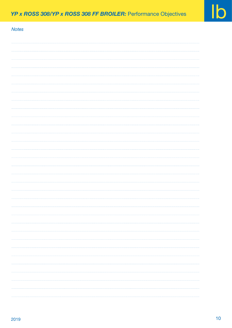| <b>Notes</b> |  |
|--------------|--|
|              |  |
|              |  |
|              |  |
|              |  |
|              |  |
|              |  |
|              |  |
|              |  |
|              |  |
|              |  |
|              |  |
|              |  |
|              |  |
|              |  |
|              |  |
|              |  |
|              |  |
|              |  |
|              |  |
|              |  |
|              |  |
|              |  |
|              |  |
|              |  |
|              |  |
|              |  |
|              |  |
|              |  |
|              |  |
|              |  |
|              |  |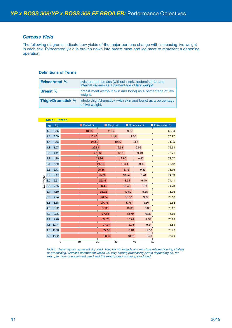## *Carcass Yield*

The following diagrams indicate how yields of the major portions change with increasing live weight in each sex. Eviscerated yield is broken down into breast meat and leg meat to represent a deboning operation.

#### **Definitions of Terms**

| <b>Eviscerated %</b> | eviscerated carcass (without neck, abdominal fat and<br>internal organs) as a percentage of live weight. |
|----------------------|----------------------------------------------------------------------------------------------------------|
| <b>Breast</b> %      | breast meat (without skin and bone) as a percentage of live<br>weight.                                   |
| Thigh/Drumstick %    | whole thigh/drumstick (with skin and bone) as a percentage<br>of live weight.                            |

|            |     | <b>Male - Portion</b> |   |          |       |         |       |       |             |      |               |
|------------|-----|-----------------------|---|----------|-------|---------|-------|-------|-------------|------|---------------|
|            | kg  | (Ib)                  |   | Breast % |       | Thigh % |       |       | Drumstick % |      | Eviscerated % |
|            | 1.2 | 2.65                  |   | 18.68    |       | 11.49   |       | 9.67  |             |      | 69.98         |
|            | 1.4 | 3.09                  |   | 20.46    |       | 11.91   |       | 9.60  |             |      | 70.97         |
|            | 1.6 | 3.53                  |   | 21.80    |       |         | 12.27 |       | 9.56        |      | 71.95         |
|            | 1.8 | 3.97                  |   | 22.84    |       |         | 12.53 |       | 9.52        |      | 72.34         |
|            | 2.0 | 4.41                  |   | 23.66    |       |         | 12.73 |       | 9.49        |      | 72.71         |
|            | 2.2 | 4.85                  |   |          | 24.36 |         | 12.90 |       | 9.47        |      | 73.07         |
|            | 2.4 | 5.29                  |   |          | 24.91 |         | 13.04 |       | 9.44        |      | 73.42         |
|            | 2.6 | 5.73                  |   |          | 25.38 |         |       | 13.16 | 9.43        |      | 73.76         |
|            | 2.8 | 6.17                  |   |          | 25.80 |         |       | 13.24 | 9.41        |      | 74.09         |
|            | 3.0 | 6.61                  |   |          | 26.15 |         |       | 13.35 | 9.40        |      | 74.41         |
| ive weight | 3.2 | 7.05                  |   |          | 26.46 |         |       | 13.43 | 9.39        |      | 74.73         |
|            | 3.4 | 7.50                  |   |          | 26.72 |         |       | 13.50 |             | 9.38 | 75.03         |
|            | 3.6 | 7.94                  |   |          | 26.94 |         |       | 13.56 |             | 9.37 | 75.32         |
|            | 3.8 | 8.38                  |   |          | 27.16 |         |       | 13.61 |             | 9.36 | 75.58         |
|            | 4.0 | 8.82                  |   |          | 27.36 |         |       | 13.66 |             | 9.36 | 75.83         |
|            | 4.2 | 9.26                  |   |          | 27.53 |         |       | 13.70 |             | 9.35 | 76.06         |
|            | 4.4 | 9.70                  |   |          | 27.70 |         |       | 13.74 |             | 9.34 | 76.29         |
|            | 4.6 | 10.14                 |   |          | 27.84 |         |       | 13.78 |             | 9.34 | 76.51         |
|            | 4.8 | 10.58                 |   |          | 27.98 |         |       | 13.81 |             | 9.33 | 76.72         |
|            | 5.0 | 11.02                 |   |          | 28.10 |         |       | 13.84 |             | 9.33 | 76.91         |
|            |     |                       | 0 | 10<br>20 |       | 30      |       |       | 40          |      | 50            |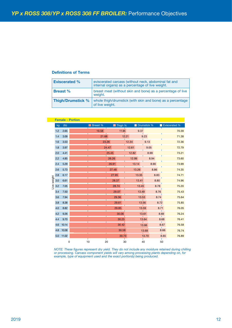#### **Definitions of Terms**

| <b>Eviscerated %</b> | eviscerated carcass (without neck, abdominal fat and<br>internal organs) as a percentage of live weight. |
|----------------------|----------------------------------------------------------------------------------------------------------|
| <b>Breast</b> %      | breast meat (without skin and bone) as a percentage of live<br>weight.                                   |
| Thigh/Drumstick %    | whole thigh/drumstick (with skin and bone) as a percentage<br>of live weight.                            |

|             |     |       | <b>Female - Portion</b> |          |       |         |       |       |             |      |               |       |
|-------------|-----|-------|-------------------------|----------|-------|---------|-------|-------|-------------|------|---------------|-------|
|             | kg  | (Ib)  |                         | Breast % |       | Thigh % |       |       | Drumstick % |      | Eviscerated % |       |
|             | 1.2 | 2.65  |                         | 19.58    |       | 11.95   |       | 9.37  |             |      |               | 70.39 |
|             | 1.4 | 3.09  |                         | 21.68    |       |         | 12.21 |       | 9.23        |      |               | 71.38 |
|             | 1.6 | 3.53  |                         | 23.26    |       |         | 12.34 |       | 9.13        |      |               | 72.36 |
|             | 1.8 | 3.97  |                         |          | 24.47 |         | 12.61 |       | 9.05        |      |               | 72.79 |
|             | 2.0 | 4.41  |                         |          | 25.45 |         | 12.82 |       | 8.99        |      |               | 73.21 |
|             | 2.2 | 4.85  |                         |          | 26.26 |         | 12.99 |       | 8.94        |      |               | 73.60 |
|             | 2.4 | 5.29  |                         |          | 26.91 |         | 13.14 |       | 8.90        |      |               | 73.99 |
|             | 2.6 | 5.73  |                         |          | 27.48 |         |       | 13.26 |             | 8.86 |               | 74.35 |
|             | 2.8 | 6.17  |                         |          | 27.95 |         |       | 13.35 |             | 8.83 |               | 74.71 |
| Live weight | 3.0 | 6.61  |                         |          | 28.37 |         |       | 13.41 |             | 8.80 |               | 74.96 |
|             | 3.2 | 7.05  |                         |          |       | 28.74   |       | 13.45 |             | 8.78 |               | 75.20 |
|             | 3.4 | 7.50  |                         |          |       | 29.07   |       | 13.49 |             | 8.76 |               | 75.43 |
|             | 3.6 | 7.94  |                         |          |       | 29.36   |       | 13.53 |             | 8.74 |               | 75.64 |
|             | 3.8 | 8.38  |                         |          |       | 29.61   |       | 13.56 |             | 8.72 |               | 75.85 |
|             | 4.0 | 8.82  |                         |          |       | 29.85   |       | 13.59 |             | 8.71 |               | 76.05 |
|             | 4.2 | 9.26  |                         |          |       | 30.06   |       | 13.61 |             | 8.69 |               | 76.24 |
|             | 4.4 | 9.70  |                         |          |       | 30.25   |       | 13.64 |             |      | 8.68          | 76.41 |
|             | 4.6 | 10.14 |                         |          |       | 30.42   |       |       | 13.66       |      | 8.67          | 76.58 |
|             | 4.8 | 10.58 |                         |          |       | 30.58   |       |       | 13.68       |      | 8.66          | 76.74 |
|             | 5.0 | 11.02 |                         |          |       | 30.73   |       |       | 13.70       |      | 8.65          | 76.89 |
|             |     | 0     |                         | 10<br>20 |       | 30      |       | 40    |             |      | 50            |       |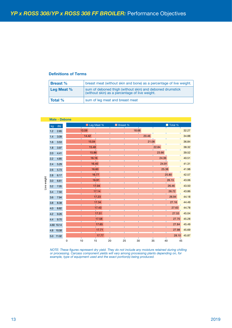#### **Definitions of Terms**

| <b>Breast</b> %     | breast meat (without skin and bone) as a percentage of live weight.                                         |
|---------------------|-------------------------------------------------------------------------------------------------------------|
| <b>Leg Meat</b> $%$ | sum of deboned thigh (without skin) and deboned drumstick<br>(without skin) as a percentage of live weight. |
| <b>Total %</b>      | sum of leg meat and breast meat                                                                             |

|             | kg      | (Ib)       |             | Leg Meat %<br>Breast % |                                                                                                                                                                                                                                                                               |    |    |        |       |       | Total %  |             |
|-------------|---------|------------|-------------|------------------------|-------------------------------------------------------------------------------------------------------------------------------------------------------------------------------------------------------------------------------------------------------------------------------|----|----|--------|-------|-------|----------|-------------|
|             | 1.2     | 2.65       |             | 13.59                  |                                                                                                                                                                                                                                                                               |    |    | 18.68  |       |       |          | 32.27       |
|             | $1.4$   | 3.09       |             |                        | 14.42                                                                                                                                                                                                                                                                         |    |    |        | 20.46 |       |          | 34.88       |
|             | 1.6     | 3.53       |             |                        | 15.04                                                                                                                                                                                                                                                                         |    |    |        | 21.08 |       |          | 36.84       |
|             | $1.8$   | 3.97       |             |                        | 15.48                                                                                                                                                                                                                                                                         |    |    |        |       | 22.84 |          | 38.32       |
|             | 2.0     | 4.41       |             |                        | 15.86                                                                                                                                                                                                                                                                         |    |    |        |       | 23.66 |          | 39.52       |
|             | 2.2     | 4.85       |             |                        | 16.16                                                                                                                                                                                                                                                                         |    |    |        |       | 24.36 |          | 40.51       |
|             | 2.4     | 5.29       |             |                        | 16.40                                                                                                                                                                                                                                                                         |    |    |        |       | 24.91 |          | 41.31       |
|             | 2.6     | 5.73       |             |                        | 16.60                                                                                                                                                                                                                                                                         |    |    |        |       | 25.38 |          | 41.98       |
|             | $2.8\,$ | 6.17       |             |                        | 16.77                                                                                                                                                                                                                                                                         |    |    |        |       |       | 25.80    | 42.57       |
| Live weight | 3.0     | 6.61       |             |                        | 16.91                                                                                                                                                                                                                                                                         |    |    |        |       |       | 26.15    | 43.06       |
|             | 3.2     | $7.05$     |             |                        | 17.04                                                                                                                                                                                                                                                                         |    |    |        |       |       | 26.46    | 43.50       |
|             | 3.4     | 7.50       |             |                        | 17.14                                                                                                                                                                                                                                                                         |    |    |        |       |       | 26.72    | 43.86       |
|             | 3.6     | 7.94       |             |                        | 17.23                                                                                                                                                                                                                                                                         |    |    |        |       |       | 26.94    | 44.18       |
|             | $3.8\,$ | 8.38       |             |                        | 17.34<br>T                                                                                                                                                                                                                                                                    |    |    |        |       |       | 27.16    | 44.49       |
|             | $4.0\,$ | 8.82       |             |                        | 17.43                                                                                                                                                                                                                                                                         |    |    |        |       |       | 27.63    | 44.78       |
|             | 4.2     | 9.26       |             |                        | 17.51                                                                                                                                                                                                                                                                         |    |    |        |       |       | 27.53    | 45.04       |
|             | 4.4     | 9.70       |             |                        | 17.58                                                                                                                                                                                                                                                                         |    |    |        |       |       | 27.70    | 45.28       |
|             |         | 4.60 10.14 |             |                        | 17.65                                                                                                                                                                                                                                                                         |    |    |        |       |       | 27.84    | 45.49       |
|             |         | 4.8 10.58  |             |                        | 17.71                                                                                                                                                                                                                                                                         |    |    |        |       |       | 27.98    | 45.69       |
|             |         | 5.0 11.02  | $\mathsf 0$ | 10                     | 17.77<br>15                                                                                                                                                                                                                                                                   | 20 | 25 | $30\,$ | 35    |       | 45<br>40 | 28.10 45.87 |
|             |         |            |             |                        | NOTE: These figures represent dry yield. They do not include any moisture retained during chilling<br>or processing. Carcass component yields will vary among processing plants depending on, for<br>example, type of equipment used and the exact portion(s) being produced. |    |    |        |       |       |          |             |
|             |         |            |             |                        |                                                                                                                                                                                                                                                                               |    |    |        |       |       |          |             |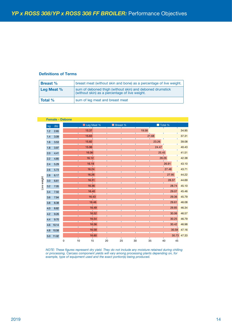### **Definitions of Terms**

| <b>Breast</b> % | breast meat (without skin and bone) as a percentage of live weight.                                         |
|-----------------|-------------------------------------------------------------------------------------------------------------|
| Leg Meat %      | sum of deboned thigh (without skin) and deboned drumstick<br>(without skin) as a percentage of live weight. |
| <b>Total %</b>  | sum of leg meat and breast meat                                                                             |

| 15.37<br>19.58<br>2.65<br>$1.2$<br>21.68<br>15.63<br>3.09<br>1.4<br>23.26<br>15.82<br>1.6<br>3.53<br>15.96<br>24.47<br>3.97<br>1.8<br>25.45<br>16.06<br>2.0<br>4.41<br>26.26<br>16.12<br>2.2<br>4.85<br>16.19<br>26.91<br>2.4<br>5.29<br>16.24<br>27.48<br>2.6<br>5.73<br>16.26<br>27.95<br>2.8<br>6.17<br>Live weight<br>16.31<br>28.37<br>3.0<br>6.61<br>16.36<br>28.74<br>3.2<br>7.05<br>16.40<br>29.07<br>3.4<br>7.50<br>29.36<br>16.43<br>3.6<br>7.94<br>16.46<br>29.61<br>$3.8\,$<br>8.38<br>29.85<br>16.49<br>$4.0$<br>8.82<br>16.52<br>30.06<br>4.2<br>9.26<br>30.25<br>16.54<br>$4.4\,$<br>9.70<br>16.56<br>30.42<br>4.6<br>10.14<br>30.58<br>16.58<br>4.8 10.58<br>16.60<br>5.0 11.02<br>$\mathsf 0$<br>$10$<br>15<br>$20\,$<br>25<br>$30\,$<br>35<br>40<br>45 | 30.73 47.33<br>NOTE: These figures represent dry yield. They do not include any moisture retained during chilling<br>or processing. Carcass component yields will vary among processing plants depending on, for<br>example, type of equipment used and the exact portion(s) being produced. | kg | (Ib) |  | Leg Meat % | Breast % |  |  | Total % |       |
|--------------------------------------------------------------------------------------------------------------------------------------------------------------------------------------------------------------------------------------------------------------------------------------------------------------------------------------------------------------------------------------------------------------------------------------------------------------------------------------------------------------------------------------------------------------------------------------------------------------------------------------------------------------------------------------------------------------------------------------------------------------------------|----------------------------------------------------------------------------------------------------------------------------------------------------------------------------------------------------------------------------------------------------------------------------------------------|----|------|--|------------|----------|--|--|---------|-------|
|                                                                                                                                                                                                                                                                                                                                                                                                                                                                                                                                                                                                                                                                                                                                                                          |                                                                                                                                                                                                                                                                                              |    |      |  |            |          |  |  |         | 34.95 |
|                                                                                                                                                                                                                                                                                                                                                                                                                                                                                                                                                                                                                                                                                                                                                                          |                                                                                                                                                                                                                                                                                              |    |      |  |            |          |  |  |         | 37.31 |
|                                                                                                                                                                                                                                                                                                                                                                                                                                                                                                                                                                                                                                                                                                                                                                          |                                                                                                                                                                                                                                                                                              |    |      |  |            |          |  |  |         | 39.08 |
|                                                                                                                                                                                                                                                                                                                                                                                                                                                                                                                                                                                                                                                                                                                                                                          |                                                                                                                                                                                                                                                                                              |    |      |  |            |          |  |  |         | 40.43 |
|                                                                                                                                                                                                                                                                                                                                                                                                                                                                                                                                                                                                                                                                                                                                                                          |                                                                                                                                                                                                                                                                                              |    |      |  |            |          |  |  |         | 41.51 |
|                                                                                                                                                                                                                                                                                                                                                                                                                                                                                                                                                                                                                                                                                                                                                                          |                                                                                                                                                                                                                                                                                              |    |      |  |            |          |  |  |         | 42.38 |
|                                                                                                                                                                                                                                                                                                                                                                                                                                                                                                                                                                                                                                                                                                                                                                          |                                                                                                                                                                                                                                                                                              |    |      |  |            |          |  |  |         | 43.10 |
|                                                                                                                                                                                                                                                                                                                                                                                                                                                                                                                                                                                                                                                                                                                                                                          |                                                                                                                                                                                                                                                                                              |    |      |  |            |          |  |  |         | 43.71 |
|                                                                                                                                                                                                                                                                                                                                                                                                                                                                                                                                                                                                                                                                                                                                                                          |                                                                                                                                                                                                                                                                                              |    |      |  |            |          |  |  |         | 44.22 |
|                                                                                                                                                                                                                                                                                                                                                                                                                                                                                                                                                                                                                                                                                                                                                                          |                                                                                                                                                                                                                                                                                              |    |      |  |            |          |  |  |         | 44.69 |
|                                                                                                                                                                                                                                                                                                                                                                                                                                                                                                                                                                                                                                                                                                                                                                          |                                                                                                                                                                                                                                                                                              |    |      |  |            |          |  |  |         | 45.10 |
|                                                                                                                                                                                                                                                                                                                                                                                                                                                                                                                                                                                                                                                                                                                                                                          |                                                                                                                                                                                                                                                                                              |    |      |  |            |          |  |  |         | 45.46 |
|                                                                                                                                                                                                                                                                                                                                                                                                                                                                                                                                                                                                                                                                                                                                                                          |                                                                                                                                                                                                                                                                                              |    |      |  |            |          |  |  |         | 45.79 |
|                                                                                                                                                                                                                                                                                                                                                                                                                                                                                                                                                                                                                                                                                                                                                                          |                                                                                                                                                                                                                                                                                              |    |      |  |            |          |  |  |         | 46.08 |
|                                                                                                                                                                                                                                                                                                                                                                                                                                                                                                                                                                                                                                                                                                                                                                          |                                                                                                                                                                                                                                                                                              |    |      |  |            |          |  |  |         | 46.34 |
|                                                                                                                                                                                                                                                                                                                                                                                                                                                                                                                                                                                                                                                                                                                                                                          |                                                                                                                                                                                                                                                                                              |    |      |  |            |          |  |  |         | 46.57 |
|                                                                                                                                                                                                                                                                                                                                                                                                                                                                                                                                                                                                                                                                                                                                                                          |                                                                                                                                                                                                                                                                                              |    |      |  |            |          |  |  |         | 46.79 |
|                                                                                                                                                                                                                                                                                                                                                                                                                                                                                                                                                                                                                                                                                                                                                                          |                                                                                                                                                                                                                                                                                              |    |      |  |            |          |  |  |         | 46.98 |
|                                                                                                                                                                                                                                                                                                                                                                                                                                                                                                                                                                                                                                                                                                                                                                          |                                                                                                                                                                                                                                                                                              |    |      |  |            |          |  |  |         | 47.16 |
|                                                                                                                                                                                                                                                                                                                                                                                                                                                                                                                                                                                                                                                                                                                                                                          |                                                                                                                                                                                                                                                                                              |    |      |  |            |          |  |  |         |       |
|                                                                                                                                                                                                                                                                                                                                                                                                                                                                                                                                                                                                                                                                                                                                                                          |                                                                                                                                                                                                                                                                                              |    |      |  |            |          |  |  |         |       |
|                                                                                                                                                                                                                                                                                                                                                                                                                                                                                                                                                                                                                                                                                                                                                                          |                                                                                                                                                                                                                                                                                              |    |      |  |            |          |  |  |         |       |
|                                                                                                                                                                                                                                                                                                                                                                                                                                                                                                                                                                                                                                                                                                                                                                          |                                                                                                                                                                                                                                                                                              |    |      |  |            |          |  |  |         |       |
|                                                                                                                                                                                                                                                                                                                                                                                                                                                                                                                                                                                                                                                                                                                                                                          |                                                                                                                                                                                                                                                                                              |    |      |  |            |          |  |  |         |       |
|                                                                                                                                                                                                                                                                                                                                                                                                                                                                                                                                                                                                                                                                                                                                                                          |                                                                                                                                                                                                                                                                                              |    |      |  |            |          |  |  |         |       |
|                                                                                                                                                                                                                                                                                                                                                                                                                                                                                                                                                                                                                                                                                                                                                                          |                                                                                                                                                                                                                                                                                              |    |      |  |            |          |  |  |         |       |
|                                                                                                                                                                                                                                                                                                                                                                                                                                                                                                                                                                                                                                                                                                                                                                          |                                                                                                                                                                                                                                                                                              |    |      |  |            |          |  |  |         |       |
|                                                                                                                                                                                                                                                                                                                                                                                                                                                                                                                                                                                                                                                                                                                                                                          |                                                                                                                                                                                                                                                                                              |    |      |  |            |          |  |  |         |       |
|                                                                                                                                                                                                                                                                                                                                                                                                                                                                                                                                                                                                                                                                                                                                                                          |                                                                                                                                                                                                                                                                                              |    |      |  |            |          |  |  |         |       |
|                                                                                                                                                                                                                                                                                                                                                                                                                                                                                                                                                                                                                                                                                                                                                                          |                                                                                                                                                                                                                                                                                              |    |      |  |            |          |  |  |         |       |